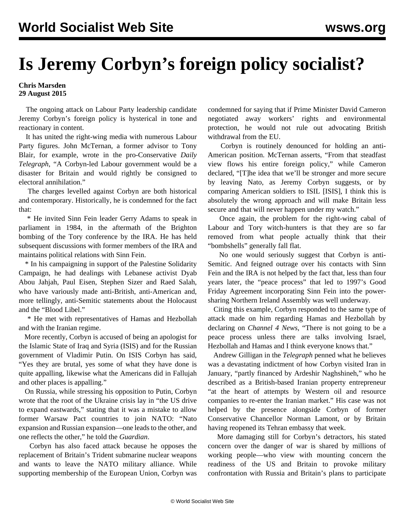## **Is Jeremy Corbyn's foreign policy socialist?**

## **Chris Marsden 29 August 2015**

 The ongoing attack on Labour Party leadership candidate Jeremy Corbyn's foreign policy is hysterical in tone and reactionary in content.

 It has united the right-wing media with numerous Labour Party figures. John McTernan, a former advisor to Tony Blair, for example, wrote in the pro-Conservative *Daily Telegraph*, "A Corbyn-led Labour government would be a disaster for Britain and would rightly be consigned to electoral annihilation."

 The charges levelled against Corbyn are both historical and contemporary. Historically, he is condemned for the fact that:

 \* He invited Sinn Fein leader Gerry Adams to speak in parliament in 1984, in the aftermath of the Brighton bombing of the Tory conference by the IRA. He has held subsequent discussions with former members of the IRA and maintains political relations with Sinn Fein.

 \* In his campaigning in support of the Palestine Solidarity Campaign, he had dealings with Lebanese activist Dyab Abou Jahjah, Paul Eisen, Stephen Sizer and Raed Salah, who have variously made anti-British, anti-American and, more tellingly, anti-Semitic statements about the Holocaust and the "Blood Libel."

 \* He met with representatives of Hamas and Hezbollah and with the Iranian regime.

 More recently, Corbyn is accused of being an apologist for the Islamic State of Iraq and Syria (ISIS) and for the Russian government of Vladimir Putin. On ISIS Corbyn has said, "Yes they are brutal, yes some of what they have done is quite appalling, likewise what the Americans did in Fallujah and other places is appalling."

 On Russia, while stressing his opposition to Putin, Corbyn wrote that the root of the Ukraine crisis lay in "the US drive to expand eastwards," stating that it was a mistake to allow former Warsaw Pact countries to join NATO: "Nato expansion and Russian expansion—one leads to the other, and one reflects the other," he told the *Guardian*.

 Corbyn has also faced attack because he opposes the replacement of Britain's Trident submarine nuclear weapons and wants to leave the NATO military alliance. While supporting membership of the European Union, Corbyn was condemned for saying that if Prime Minister David Cameron negotiated away workers' rights and environmental protection, he would not rule out advocating British withdrawal from the EU.

 Corbyn is routinely denounced for holding an anti-American position. McTernan asserts, "From that steadfast view flows his entire foreign policy," while Cameron declared, "[T]he idea that we'll be stronger and more secure by leaving Nato, as Jeremy Corbyn suggests, or by comparing American soldiers to ISIL [ISIS], I think this is absolutely the wrong approach and will make Britain less secure and that will never happen under my watch."

 Once again, the problem for the right-wing cabal of Labour and Tory witch-hunters is that they are so far removed from what people actually think that their "bombshells" generally fall flat.

 No one would seriously suggest that Corbyn is anti-Semitic. And feigned outrage over his contacts with Sinn Fein and the IRA is not helped by the fact that, less than four years later, the "peace process" that led to 1997's Good Friday Agreement incorporating Sinn Fein into the powersharing Northern Ireland Assembly was well underway.

 Citing this example, Corbyn responded to the same type of attack made on him regarding Hamas and Hezbollah by declaring on *Channel 4 News*, "There is not going to be a peace process unless there are talks involving Israel, Hezbollah and Hamas and I think everyone knows that."

 Andrew Gilligan in the *Telegraph* penned what he believes was a devastating indictment of how Corbyn visited Iran in January, "partly financed by Ardeshir Naghshineh," who he described as a British-based Iranian property entrepreneur "at the heart of attempts by Western oil and resource companies to re-enter the Iranian market." His case was not helped by the presence alongside Corbyn of former Conservative Chancellor Norman Lamont, or by Britain having reopened its Tehran embassy that week.

 More damaging still for Corbyn's detractors, his stated concern over the danger of war is shared by millions of working people—who view with mounting concern the readiness of the US and Britain to provoke military confrontation with Russia and Britain's plans to participate